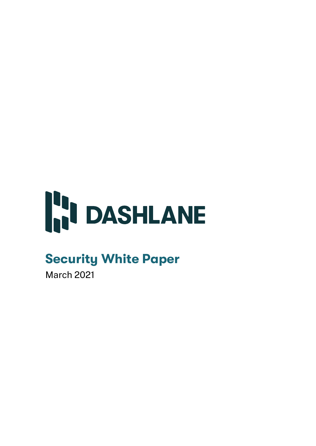

# **Security White Paper**

March 2021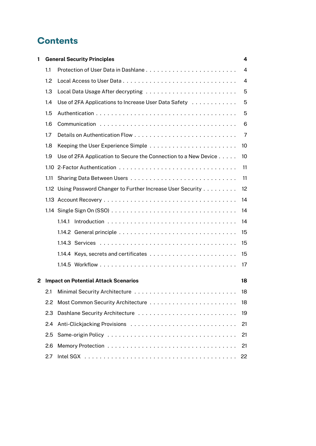## **Contents**

| 1 |      | <b>General Security Principles</b><br>4                         |    |  |  |  |  |
|---|------|-----------------------------------------------------------------|----|--|--|--|--|
|   | 1.1  |                                                                 | 4  |  |  |  |  |
|   | 1.2  |                                                                 | 4  |  |  |  |  |
|   | 1.3  |                                                                 | 5  |  |  |  |  |
|   | 1.4  | Use of 2FA Applications to Increase User Data Safety            | 5  |  |  |  |  |
|   | 1.5  |                                                                 | 5  |  |  |  |  |
|   | 1.6  |                                                                 | 6  |  |  |  |  |
|   | 1.7  |                                                                 | 7  |  |  |  |  |
|   | 1.8  |                                                                 | 10 |  |  |  |  |
|   | 1.9  | Use of 2FA Application to Secure the Connection to a New Device | 10 |  |  |  |  |
|   | 1.10 |                                                                 | 11 |  |  |  |  |
|   | 1.11 |                                                                 | 11 |  |  |  |  |
|   |      | 1.12 Using Password Changer to Further Increase User Security   | 12 |  |  |  |  |
|   |      |                                                                 | 14 |  |  |  |  |
|   |      |                                                                 | 14 |  |  |  |  |
|   |      | 1.14.1                                                          | 14 |  |  |  |  |
|   |      |                                                                 | 15 |  |  |  |  |
|   |      |                                                                 | 15 |  |  |  |  |
|   |      |                                                                 | 15 |  |  |  |  |
|   |      |                                                                 | 17 |  |  |  |  |
| 2 |      | <b>Impact on Potential Attack Scenarios</b><br>18               |    |  |  |  |  |
|   |      |                                                                 | 18 |  |  |  |  |
|   | 2.2  |                                                                 | 18 |  |  |  |  |
|   | 2.3  |                                                                 | 19 |  |  |  |  |
|   | 2.4  |                                                                 | 21 |  |  |  |  |
|   | 2.5  |                                                                 | 21 |  |  |  |  |
|   | 2.6  |                                                                 | 21 |  |  |  |  |
|   | 2.7  |                                                                 |    |  |  |  |  |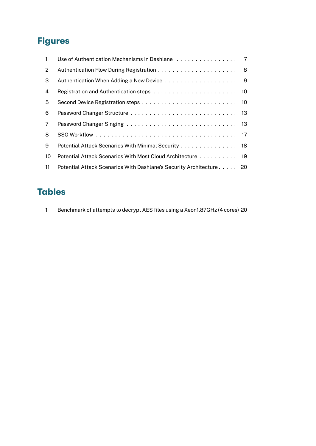## **Figures**

| 1  | Use of Authentication Mechanisms in Dashlane 7                      |  |
|----|---------------------------------------------------------------------|--|
| 2  |                                                                     |  |
| 3  |                                                                     |  |
| 4  |                                                                     |  |
| 5  |                                                                     |  |
| 6  |                                                                     |  |
| 7  |                                                                     |  |
| 8  |                                                                     |  |
| 9  | Potential Attack Scenarios With Minimal Security 18                 |  |
| 10 | Potential Attack Scenarios With Most Cloud Architecture 19          |  |
| 11 | Potential Attack Scenarios With Dashlane's Security Architecture 20 |  |

## **T[ables](#page-19-0)**

1 Benchmark of attempts to decrypt AES files using a Xeon1.87GHz (4 cores) 20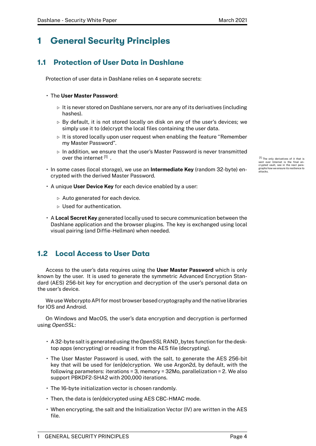## <span id="page-3-0"></span>**1 General Security Principles**

#### <span id="page-3-1"></span>**1.1 Protection of User Data in Dashlane**

Protection of user data in Dashlane relies on 4 separate secrets:

#### • The **User Master Password**:

- *▷* It is never stored on Dashlane servers, nor are any of its derivatives (including hashes).
- *▷* By default, it is not stored locally on disk on any of the user's devices; we simply use it to (de)crypt the local files containing the user data.
- *▷* It is stored locally upon user request when enabling the feature ''Remember my Master Password".
- *▷* In addition, we ensure that the user's Master Password is never transmitted over the internet [1].
- In some cases (local storage), we use an **Intermediate Key** (random 32-byte) encrypted with the derived Master Password.
- A unique **User Device Key** for each device enabled by a user:
	- *▷* Auto generated for each device.
	- *▷* Used for authentication.
- A **Local Secret Key** generated locally used to secure communication between the Dashlane application and the browser plugins. The key is exchanged using local visual pairing (and Diffie-Hellman) when needed.

### <span id="page-3-2"></span>**1.2 Local Access to User Data**

Access to the user's data requires using the **User Master Password** which is only known by the user. It is used to generate the symmetric Advanced Encryption Standard (AES) 256-bit key for encryption and decryption of the user's personal data on the user's device.

We use Webcrypto API for most browser based cryptography and the native libraries for IOS and Android.

On Windows and MacOS, the user's data encryption and decryption is performed using *OpenSSL*:

- A 32-byte salt is generated using the *OpenSSL*RAND\_bytes function for the desktop apps (encrypting) or reading it from the AES file (decrypting).
- The User Master Password is used, with the salt, to generate the AES 256-bit key that will be used for (en|de)cryption. We use Argon2d, by default, with the following parameters: iterations = 3, memory = 32Mo, parallelization = 2. We also support PBKDF2-SHA2 with 200,000 iterations.
- The 16-byte initialization vector is chosen randomly.
- Then, the data is (en|de)crypted using AES CBC-HMAC mode.
- When encrypting, the salt and the Initialization Vector (IV) are written in the AES file.

[1] The only derivatives of it that is sent over Internet is the final en-crypted vault, see in the next para-graphs how we ensure its resilience to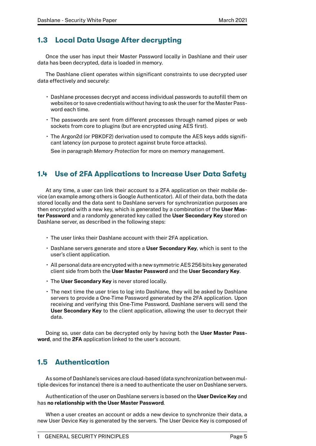#### **1.3 Local Data Usage After decrypting**

Once the user has input their Master Password locally in Dashlane and their user data has been decrypted, data is loaded in memory.

<span id="page-4-0"></span>The Dashlane client operates within significant constraints to use decrypted user data effectively and securely:

- Dashlane processes decrypt and access individual passwords to autofill them on websites or to save credentials without having to ask the user for the Master Password each time.
- The passwords are sent from different processes through named pipes or web sockets from core to plugins (but are encrypted using AES first).
- The Argon2d (or PBKDF2) derivation used to compute the AES keys adds significant latency (on purpose to protect against brute force attacks). See in paragraph *Memory Protection* for more on memory management.

#### **1.4 Use of 2FA [Applications](#page-20-2) to Increase User Data Safety**

<span id="page-4-1"></span>At any time, a user can link their account to a 2FA application on their mobile device (an example among others is Google Authenticator). All of their data, both the data stored locally and the data sent to Dashlane servers for synchronization purposes are then encrypted with a new key, which is generated by a combination of the **User Master Password** and a randomly generated key called the **User Secondary Key** stored on Dashlane server, as described in the following steps:

- The user links their Dashlane account with their 2FA application.
- Dashlane servers generate and store a **User Secondary Key**, which is sent to the user's client application.
- All personal data are encrypted with a new symmetric AES 256 bits key generated client side from both the **User Master Password** and the **User Secondary Key**.
- The **User Secondary Key** is never stored locally.
- The next time the user tries to log into Dashlane, they will be asked by Dashlane servers to provide a One-Time Password generated by the 2FA application. Upon receiving and verifying this One-Time Password, Dashlane servers will send the **User Secondary Key** to the client application, allowing the user to decrypt their data.

Doing so, user data can be decrypted only by having both the **User Master Password**, and the **2FA** application linked to the user's account.

#### **1.5 Authentication**

<span id="page-4-2"></span>As some of Dashlane's services are cloud-based (data synchronization between multiple devices for instance) there is a need to authenticate the user on Dashlane servers.

Authentication of the user on Dashlane servers is based on the **User Device Key** and has **no relationship with the User Master Password**.

When a user creates an account or adds a new device to synchronize their data, a new User Device Key is generated by the servers. The User Device Key is composed of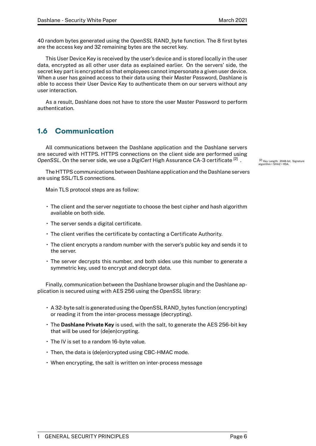40 random bytes generated using the *OpenSSL* RAND\_byte function. The 8 first bytes are the access key and 32 remaining bytes are the secret key.

This User Device Key is received by the user's device and is stored locally in the user data, encrypted as all other user data as explained earlier. On the servers' side, the secret key part is encrypted so that employees cannot impersonate a given user device. When a user has gained access to their data using their Master Password, Dashlane is able to access their User Device Key to authenticate them on our servers without any user interaction.

As a result, Dashlane does not have to store the user Master Password to perform authentication.

#### <span id="page-5-0"></span>**1.6 Communication**

All communications between the Dashlane application and the Dashlane servers are secured with HTTPS. HTTPS connections on the client side are performed using *OpenSSL*. On the server side, we use a *DigiCert* High Assurance CA-3 certificate [2] .

[2] Key Length: 2048-bit, Signature algorithm = SHA2 + RSA.

The HTTPS communications between Dashlane application and the Dashlane servers are using SSL/TLS connections.

Main TLS protocol steps are as follow:

- The client and the server negotiate to choose the best cipher and hash algorithm available on both side.
- The server sends a digital certificate.
- The client verifies the certificate by contacting a Certificate Authority.
- The client encrypts a random number with the server's public key and sends it to the server.
- The server decrypts this number, and both sides use this number to generate a symmetric key, used to encrypt and decrypt data.

Finally, communication between the Dashlane browser plugin and the Dashlane application is secured using with AES 256 using the *OpenSSL* library:

- A 32-byte salt is generated using the OpenSSL RAND\_bytes function (encrypting) or reading it from the inter-process message (decrypting).
- The **Dashlane Private Key** is used, with the salt, to generate the AES 256-bit key that will be used for (de|en)crypting.
- The IV is set to a random 16-byte value.
- Then, the data is (de|en)crypted using CBC-HMAC mode.
- When encrypting, the salt is written on inter-process message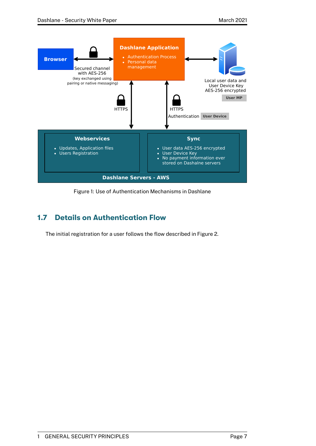<span id="page-6-1"></span>

Figure 1: Use of Authentication Mechanisms in Dashlane

## **1.7 Details on Authentication Flow**

<span id="page-6-0"></span>The initial registration for a user follows the flow described in Figure 2.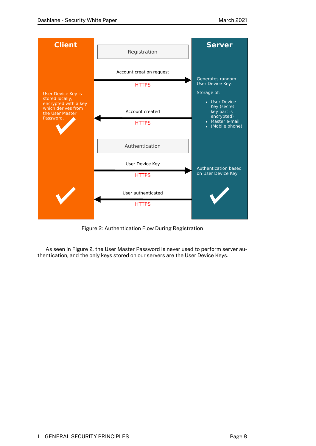<span id="page-7-0"></span>

Figure 2: Authentication Flow During Registration

As seen in Figure 2, the User Master Password is never used to perform server authentication, and the only keys stored on our servers are the User Device Keys.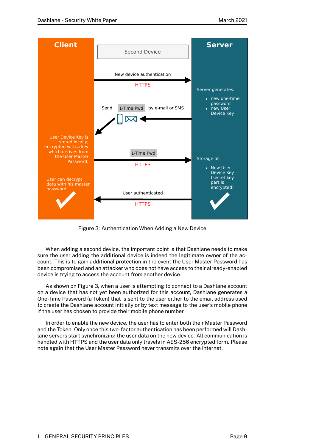<span id="page-8-1"></span>

Figure 3: Authentication When Adding a New Device

When adding a second device, the important point is that Dashlane needs to make sure the user adding the additional device is indeed the legitimate owner of the account. This is to gain additional protection in the event the User Master Password has been compromised and an attacker who does not have access to their already-enabled device is trying to access the account from another device.

As shown on Figure 3, when a user is attempting to connect to a Dashlane account on a device that has not yet been authorized for this account, Dashlane generates a One-Time Password (a Token) that is sent to the user either to the email address used to create the Dashlane account initially or by text message to the user's mobile phone if the user has c[hosen to](#page-8-1) provide their mobile phone number.

<span id="page-8-0"></span>In order to enable the new device, the user has to enter both their Master Password and the Token. Only once this two-factor authentication has been performed will Dashlane servers start synchronizing the user data on the new device. All communication is handled with HTTPS and the user data only travels in AES-256 encrypted form. Please note again that the User Master Password never transmits over the internet.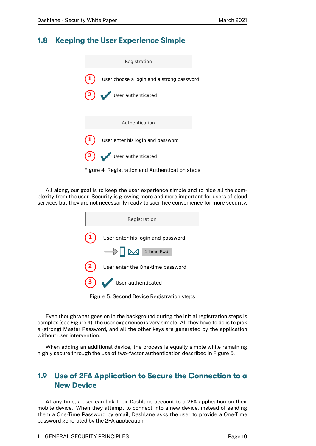#### <span id="page-9-1"></span>**1.8 Keeping the User Experience Simple**



<span id="page-9-2"></span>All along, our goal is to keep the user experience simple and to hide all the complexity from the user. Security is growing more and more important for users of cloud services but they are not necessarily ready to sacrifice convenience for more security.

| Registration                      |  |  |  |  |  |  |
|-----------------------------------|--|--|--|--|--|--|
| User enter his login and password |  |  |  |  |  |  |
| $\sqrt{2}$ 1-Time Pwd             |  |  |  |  |  |  |
| User enter the One-time password  |  |  |  |  |  |  |
| (3) User authenticated            |  |  |  |  |  |  |

Figure 5: Second Device Registration steps

Even though what goes on in the background during the initial registration steps is complex (see Figure 4), the user experience is very simple. All they have to do is to pick a (strong) Master Password, and all the other keys are generated by the application without user intervention.

When ad[ding an a](#page-9-1)dditional device, the process is equally simple while remaining highly secure through the use of two-factor authentication described in Figure 5.

#### **1.9 Use of 2FA Application to Secure the Conne[ction t](#page-9-2)o a New Device**

<span id="page-9-0"></span>At any time, a user can link their Dashlane account to a 2FA application on their mobile device. When they attempt to connect into a new device, instead of sending them a One-Time Password by email, Dashlane asks the user to provide a One-Time password generated by the 2FA application.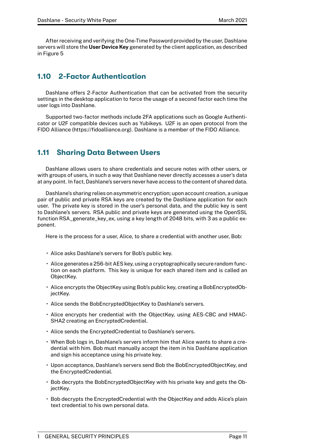After receiving and verifying the One-Time Password provided by the user, Dashlane servers will store the **User Device Key** generated by the client application, as described in Figure 5

#### **1[.10 2-](#page-9-2)Factor Authentication**

<span id="page-10-0"></span>Dashlane offers 2-Factor Authentication that can be activated from the security settings in the desktop application to force the usage of a second factor each time the user logs into Dashlane.

Supported two-factor methods include 2FA applications such as Google Authenticator or U2F compatible devices such as Yubikeys. U2F is an open protocol from the FIDO Alliance (https://fidoalliance.org). Dashlane is a member of the FIDO Alliance.

#### **1.11 Shar[ing Data Betwee](https://fidoalliance.org)n Users**

<span id="page-10-1"></span>Dashlane allows users to share credentials and secure notes with other users, or with groups of users, in such a way that Dashlane never directly accesses a user's data at any point. In fact, Dashlane's servers never have access to the content of shared data.

Dashlane's sharing relies on asymmetric encryption; upon account creation, a unique pair of public and private RSA keys are created by the Dashlane application for each user. The private key is stored in the user's personal data, and the public key is sent to Dashlane's servers. RSA public and private keys are generated using the OpenSSL function RSA\_generate\_key\_ex, using a key length of 2048 bits, with 3 as a public exponent.

Here is the process for a user, Alice, to share a credential with another user, Bob:

- Alice asks Dashlane's servers for Bob's public key.
- Alice generates a 256-bit AES key, using a cryptographically secure random function on each platform. This key is unique for each shared item and is called an ObjectKey.
- Alice encrypts the ObjectKey using Bob's public key, creating a BobEncryptedObjectKey.
- Alice sends the BobEncryptedObjectKey to Dashlane's servers.
- Alice encrypts her credential with the ObjectKey, using AES-CBC and HMAC-SHA2 creating an EncryptedCredential.
- Alice sends the EncryptedCredential to Dashlane's servers.
- When Bob logs in, Dashlane's servers inform him that Alice wants to share a credential with him. Bob must manually accept the item in his Dashlane application and sign his acceptance using his private key.
- Upon acceptance, Dashlane's servers send Bob the BobEncryptedObjectKey, and the EncryptedCredential.
- Bob decrypts the BobEncryptedObjectKey with his private key and gets the ObjectKey.
- Bob decrypts the EncryptedCredential with the ObjectKey and adds Alice's plain text credential to his own personal data.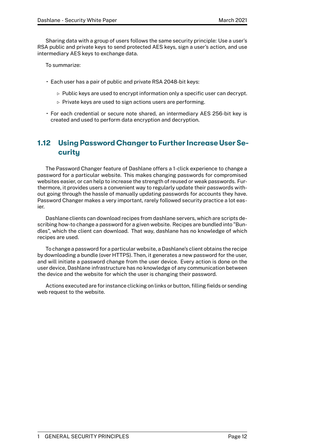Sharing data with a group of users follows the same security principle: Use a user's RSA public and private keys to send protected AES keys, sign a user's action, and use intermediary AES keys to exchange data.

To summarize:

- Each user has a pair of public and private RSA 2048-bit keys:
	- *▷* Public keys are used to encrypt information only a specific user can decrypt.
	- *▷* Private keys are used to sign actions users are performing.
- For each credential or secure note shared, an intermediary AES 256-bit key is created and used to perform data encryption and decryption.

### <span id="page-11-0"></span>**1.12 Using Password Changer to Further Increase User Security**

The Password Changer feature of Dashlane offers a 1-click experience to change a password for a particular website. This makes changing passwords for compromised websites easier, or can help to increase the strength of reused or weak passwords. Furthermore, it provides users a convenient way to regularly update their passwords without going through the hassle of manually updating passwords for accounts they have. Password Changer makes a very important, rarely followed security practice a lot easier.

Dashlane clients can download recipes from dashlane servers, which are scripts describing how-to change a password for a given website. Recipes are bundled into "Bundles", which the client can download. That way, dashlane has no knowledge of which recipes are used.

To change a password for a particular website, a Dashlane's client obtains the recipe by downloading a bundle (over HTTPS). Then, it generates a new password for the user, and will initiate a password change from the user device. Every action is done on the user device, Dashlane infrastructure has no knowledge of any communication between the device and the website for which the user is changing their password.

Actions executed are for instance clicking on links or button, filling fields or sending web request to the website.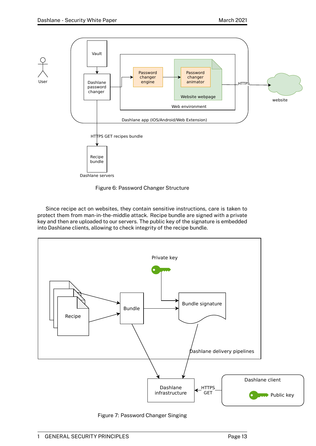<span id="page-12-0"></span>

Figure 6: Password Changer Structure

Since recipe act on websites, they contain sensitive instructions, care is taken to protect them from man-in-the-middle attack. Recipe bundle are signed with a private key and then are uploaded to our servers. The public key of the signature is embedded into Dashlane clients, allowing to check integrity of the recipe bundle.

<span id="page-12-1"></span>

Figure 7: Password Changer Singing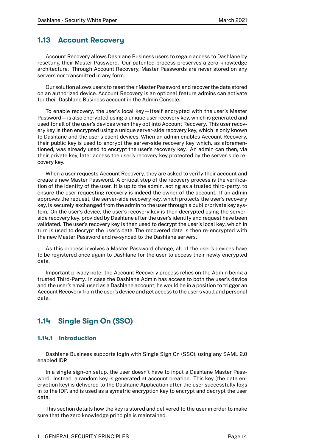#### <span id="page-13-0"></span>**1.13 Account Recovery**

Account Recovery allows Dashlane Business users to regain access to Dashlane by resetting their Master Password. Our patented process preserves a zero-knowledge architecture. Through Account Recovery, Master Passwords are never stored on any servers nor transmitted in any form.

Our solution allows users to reset their Master Password and recover the data stored on an authorized device. Account Recovery is an optional feature admins can activate for their Dashlane Business account in the Admin Console.

To enable recovery, the user's local key—itself encrypted with the user's Master Password—is also encrypted using a unique user recovery key, which is generated and used for all of the user's devices when they opt into Account Recovery. This user recovery key is then encrypted using a unique server-side recovery key, which is only known to Dashlane and the user's client devices. When an admin enables Account Recovery, their public key is used to encrypt the server-side recovery key which, as aforementioned, was already used to encrypt the user's recovery key. An admin can then, via their private key, later access the user's recovery key protected by the server-side recovery key.

When a user requests Account Recovery, they are asked to verify their account and create a new Master Password. A critical step of the recovery process is the verification of the identity of the user. It is up to the admin, acting as a trusted third-party, to ensure the user requesting recovery is indeed the owner of the account. If an admin approves the request, the server-side recovery key, which protects the user's recovery key, is securely exchanged from the admin to the user through a public/private key system. On the user's device, the user's recovery key is then decrypted using the serverside recovery key, provided by Dashlane after the user's identity and request have been validated. The user's recovery key is then used to decrypt the user's local key, which in turn is used to decrypt the user's data. The recovered data is then re-encrypted with the new Master Password and re-synced to the Dashlane servers.

As this process involves a Master Password change, all of the user's devices have to be registered once again to Dashlane for the user to access their newly encrypted data.

Important privacy note: the Account Recovery process relies on the Admin being a trusted Third-Party. In case the Dashlane Admin has access to both the user's device and the user's email used as a Dashlane account, he would be in a position to trigger an Account Recovery from the user's device and get access to the user's vault and personal data.

#### <span id="page-13-1"></span>**1.14 Single Sign On (SSO)**

#### <span id="page-13-2"></span>**1.14.1 Introduction**

Dashlane Business supports login with Single Sign On (SSO), using any SAML 2.0 enabled IDP.

In a single sign-on setup, the user doesn't have to input a Dashlane Master Password. Instead, a random key is generated at account creation. This key (the data encryption key) is delivered to the Dashlane Application after the user successfully logs in to the IDP, and is used as a symetric encryption key to encrypt and decrypt the user data.

This section details how the key is stored and delivered to the user in order to make sure that the zero knowledge principle is maintained.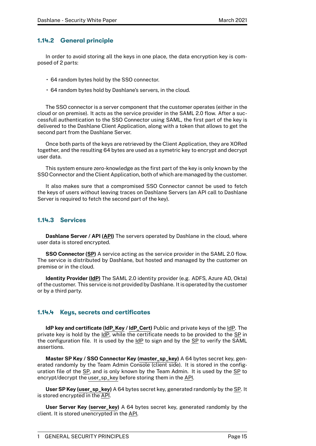#### <span id="page-14-0"></span>**1.14.2 General principle**

In order to avoid storing all the keys in one place, the data encryption key is composed of 2 parts:

- 64 random bytes hold by the SSO connector.
- 64 random bytes hold by Dashlane's servers, in the cloud.

The SSO connector is a server component that the customer operates (either in the cloud or on premise). It acts as the service provider in the SAML 2.0 flow. After a successfull authentication to the SSO Connector using SAML, the first part of the key is delivered to the Dashlane Client Application, along with a token that allows to get the second part from the Dashlane Server.

Once both parts of the keys are retrieved by the Client Application, they are XORed together, and the resulting 64 bytes are used as a symetric key to encrypt and decrypt user data.

This system ensure zero-knowledge as the first part of the key is only known by the SSO Connector and the Client Application, both of which are managed by the customer.

It also makes sure that a compromised SSO Connector cannot be used to fetch the keys of users without leaving traces on Dashlane Servers (an API call to Dashlane Server is required to fetch the second part of the key).

#### <span id="page-14-1"></span>**1.14.3 Services**

**Dashlane Server / API (API)** The servers operated by Dashlane in the cloud, where user data is stored encrypted.

**SSO Connector (SP)** A service acting as the service provider in the SAML 2.0 flow. The service is distributed by Dashlane, but hosted and managed by the customer on premise or in the cloud.

**Identity Provider (IdP)** The SAML 2.0 identity provider (e.g. ADFS, Azure AD, Okta) of the customer. This service is not provided by Dashlane. It is operated by the customer or by a third party.

#### <span id="page-14-2"></span>**1.14.4 Keys, secrets and certificates**

**IdP key and certificate (IdP\_Key / IdP\_Cert)** Public and private keys of the IdP. The private key is hold by the IdP, while the certificate needs to be provided to the SP in the configuration file. It is used by the IdP to sign and by the SP to verify the SAML assertions.

**Master SP Key / SSO Connector Key (master\_sp\_key)** A 64 bytes secret key, generated randomly by the Team Admin Console (client side). It is stored in the configuration file of the SP, and is only known by the Team Admin. It is used by the SP to encrypt/decrypt the user\_sp\_key before storing them in the API.

**User SP Key (user\_sp\_key)** A 64 bytes secret key, generated randomly by the SP. It is stored encrypted in the API.

**User Server Key (server\_key)** A 64 bytes secret key, generated randomly by the client. It is stored unencrypted in the API.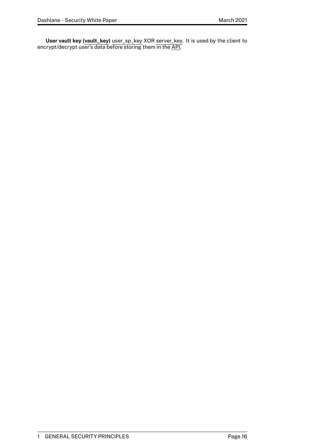<span id="page-15-0"></span>**User vault key (vault\_key)** user\_sp\_key XOR server\_key. It is used by the client to encrypt/decrypt user's data before storing them in the API.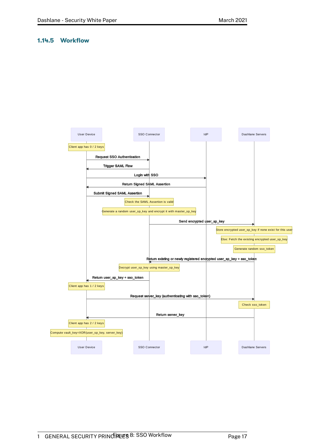#### <span id="page-16-0"></span>**1.14.5 Workflow**

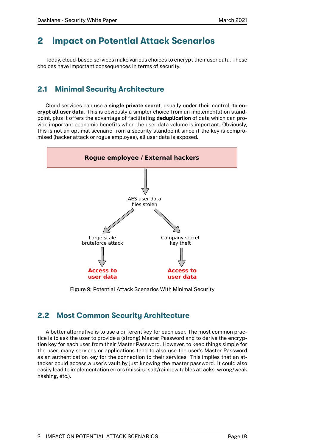## <span id="page-17-0"></span>**2 Impact on Potential Attack Scenarios**

Today, cloud-based services make various choices to encrypt their user data. These choices have important consequences in terms of security.

#### <span id="page-17-1"></span>**2.1 Minimal Security Architecture**

Cloud services can use a **single private secret**, usually under their control, **to encrypt all user data**. This is obviously a simpler choice from an implementation standpoint, plus it offers the advantage of facilitating **deduplication** of data which can provide important economic benefits when the user data volume is important. Obviously, this is not an optimal scenario from a security standpoint since if the key is compromised (hacker attack or rogue employee), all user data is exposed.

<span id="page-17-3"></span>

Figure 9: Potential Attack Scenarios With Minimal Security

### <span id="page-17-2"></span>**2.2 Most Common Security Architecture**

A better alternative is to use a different key for each user. The most common practice is to ask the user to provide a (strong) Master Password and to derive the encryption key for each user from their Master Password. However, to keep things simple for the user, many services or applications tend to also use the user's Master Password as an authentication key for the connection to their services. This implies that an attacker could access a user's vault by just knowing the master password. It could also easily lead to implementation errors (missing salt/rainbow tables attacks, wrong/weak hashing, etc.).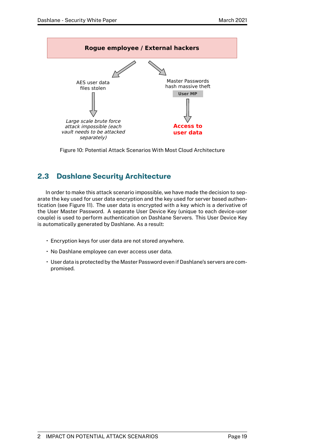

Figure 10: Potential Attack Scenarios With Most Cloud Architecture

#### **2.3 Dashlane Security Architecture**

<span id="page-18-0"></span>In order to make this attack scenario impossible, we have made the decision to separate the key used for user data encryption and the key used for server based authentication (see Figure 11). The user data is encrypted with a key which is a derivative of the User Master Password. A separate User Device Key (unique to each device-user couple) is used to perform authentication on Dashlane Servers. This User Device Key is automatically generated by Dashlane. As a result:

- Encryption keys for user data are not stored anywhere.
- No Dashlane employee can ever access user data.
- User data is protected by the Master Password even if Dashlane's servers are compromised.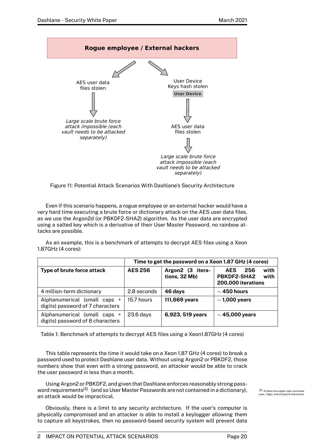<span id="page-19-0"></span>

Figure 11: Potential Attack Scenarios With Dashlane's Security Architecture

Even if this scenario happens, a rogue employee or an external hacker would have a very hard time executing a brute force or dictionary attack on the AES user data files, as we use the Argon2d (or PBKDF2-SHA2) algorithm. As the user data are encrypted using a salted key which is a derivative of their User Master Password, no rainbow attacks are possible.

As an example, this is a benchmark of attempts to decrypt AES files using a Xeon 1.87GHz (4 cores):

|                                                                  | Time to get the password on a Xeon 1.87 GHz (4 cores) |                                   |                                                                        |  |
|------------------------------------------------------------------|-------------------------------------------------------|-----------------------------------|------------------------------------------------------------------------|--|
| Type of brute force attack                                       | <b>AES 256</b>                                        | Argon2 (3 itera-<br>tions, 32 Mb) | with<br><b>AES</b><br>256<br>PBKDF2-SHA2<br>with<br>200,000 iterations |  |
| 4 million-term dictionary                                        | 2.8 seconds                                           | 46 days                           | $\sim$ 450 hours                                                       |  |
| Alphanumerical (small caps +<br>digits) password of 7 characters | 15.7 hours                                            | 111,669 years                     | $\sim$ 1,000 years                                                     |  |
| Alphanumerical (small caps +<br>digits) password of 8 characters | $23.6$ days                                           | 6,923, 519 years                  | $\sim$ 45,000 years                                                    |  |

Table 1: Benchmark of attempts to decrypt AES files using a Xeon1.87GHz (4 cores)

This table represents the time it would take on a Xeon 1.87 GHz (4 cores) to break a password used to protect Dashlane user data. Without using Argon2 or PBKDF2, those numbers show that even with a strong password, an attacker would be able to crack the user password in less than a month.

Using Argon2 or PBKDF2, and given that Dashlane enforces reasonably strong password requirements<sup>[3]</sup> (and so User Master Passwords are not contained in a dictionary), <sup>[3]</sup> At least one upper case, one lower<br>an attackly used the improvation of the stream of the contained in a dictionary), sees, 1 di an attack would be impractical.

Obviously, there is a limit to any security architecture. If the user's computer is physically compromised and an attacker is able to install a keylogger allowing them to capture all keystrokes, then no password-based security system will prevent data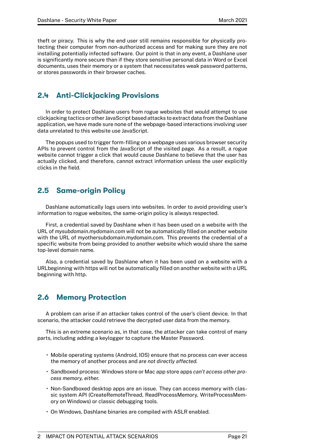theft or piracy. This is why the end user still remains responsible for physically protecting their computer from non-authorized access and for making sure they are not installing potentially infected software. Our point is that in any event, a Dashlane user is significantly more secure than if they store sensitive personal data in Word or Excel documents, uses their memory or a system that necessitates weak password patterns, or stores passwords in their browser caches.

### <span id="page-20-0"></span>**2.4 Anti-Clickjacking Provisions**

In order to protect Dashlane users from rogue websites that would attempt to use clickjacking tactics or other JavaScript based attacks to extract data from the Dashlane application, we have made sure none of the webpage-based interactions involving user data unrelated to this website use JavaScript.

The popups used to trigger form-filling on a webpage uses various browser security APIs to prevent control from the JavaScript of the visited page. As a result, a rogue website cannot trigger a click that would cause Dashlane to believe that the user has actually clicked, and therefore, cannot extract information unless the user explicitly clicks in the field.

#### <span id="page-20-1"></span>**2.5 Same-origin Policy**

Dashlane automatically logs users into websites. In order to avoid providing user's information to rogue websites, the same-origin policy is always respected.

First, a credential saved by Dashlane when it has been used on a website with the URL of *mysubdomain.mydomain.com* will not be automatically filled on another website with the URL of myothersubdomain.mydomain.com. This prevents the credential of a specific website from being provided to another website which would share the same top-level domain name.

Also, a credential saved by Dashlane when it has been used on a website with a URLbeginning with https will not be automatically filled on another website with a URL beginning with http.

### <span id="page-20-2"></span>**2.6 Memory Protection**

A problem can arise if an attacker takes control of the user's client device. In that scenario, the attacker could retrieve the decrypted user data from the memory.

This is an extreme scenario as, in that case, the attacker can take control of many parts, including adding a keylogger to capture the Master Password.

- Mobile operating systems (Android, IOS) ensure that no process can ever access the memory of another process and *are not directly affected.*
- Sandboxed process: Windows store or Mac app store apps *can't access other process memory, either.*
- Non-Sandboxed desktop apps are an issue. They can access memory with classic system API (CreateRemoteThread, ReadProcessMemory, WriteProcessMemory on Windows) or classic debugging tools.
- On Windows, Dashlane binaries are compiled with ASLR enabled.